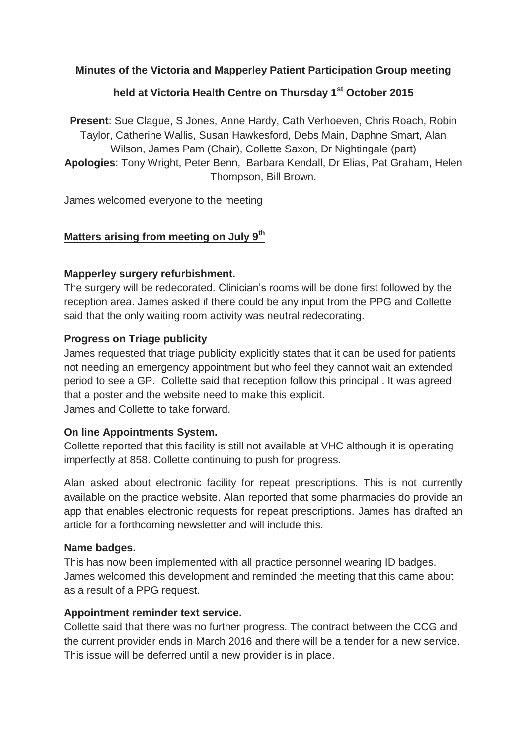## **Minutes of the Victoria and Mapperley Patient Participation Group meeting**

# **held at Victoria Health Centre on Thursday 1st October 2015**

**Present**: Sue Clague, S Jones, Anne Hardy, Cath Verhoeven, Chris Roach, Robin Taylor, Catherine Wallis, Susan Hawkesford, Debs Main, Daphne Smart, Alan Wilson, James Pam (Chair), Collette Saxon, Dr Nightingale (part) **Apologies**: Tony Wright, Peter Benn, Barbara Kendall, Dr Elias, Pat Graham, Helen Thompson, Bill Brown.

James welcomed everyone to the meeting

#### **Matters arising from meeting on July 9th**

#### **Mapperley surgery refurbishment.**

The surgery will be redecorated. Clinician's rooms will be done first followed by the reception area. James asked if there could be any input from the PPG and Collette said that the only waiting room activity was neutral redecorating.

#### **Progress on Triage publicity**

James requested that triage publicity explicitly states that it can be used for patients not needing an emergency appointment but who feel they cannot wait an extended period to see a GP. Collette said that reception follow this principal . It was agreed that a poster and the website need to make this explicit. James and Collette to take forward.

#### **On line Appointments System.**

Collette reported that this facility is still not available at VHC although it is operating imperfectly at 858. Collette continuing to push for progress.

Alan asked about electronic facility for repeat prescriptions. This is not currently available on the practice website. Alan reported that some pharmacies do provide an app that enables electronic requests for repeat prescriptions. James has drafted an article for a forthcoming newsletter and will include this.

#### **Name badges.**

This has now been implemented with all practice personnel wearing ID badges. James welcomed this development and reminded the meeting that this came about as a result of a PPG request.

#### **Appointment reminder text service.**

Collette said that there was no further progress. The contract between the CCG and the current provider ends in March 2016 and there will be a tender for a new service. This issue will be deferred until a new provider is in place.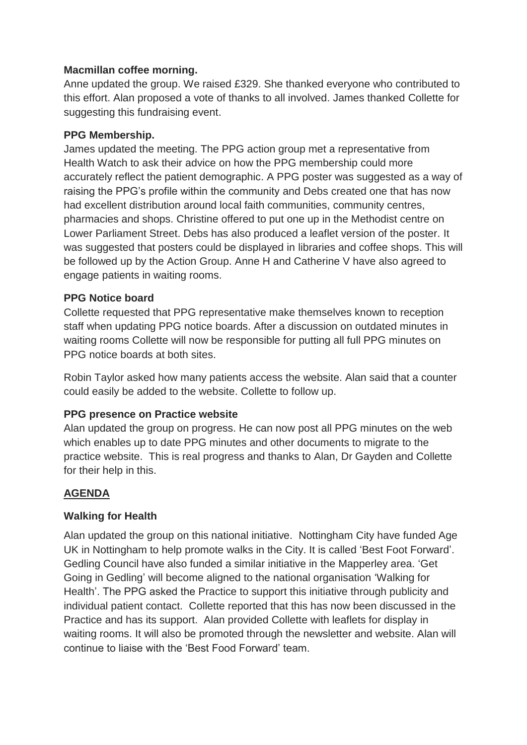## **Macmillan coffee morning.**

Anne updated the group. We raised £329. She thanked everyone who contributed to this effort. Alan proposed a vote of thanks to all involved. James thanked Collette for suggesting this fundraising event.

## **PPG Membership.**

James updated the meeting. The PPG action group met a representative from Health Watch to ask their advice on how the PPG membership could more accurately reflect the patient demographic. A PPG poster was suggested as a way of raising the PPG's profile within the community and Debs created one that has now had excellent distribution around local faith communities, community centres, pharmacies and shops. Christine offered to put one up in the Methodist centre on Lower Parliament Street. Debs has also produced a leaflet version of the poster. It was suggested that posters could be displayed in libraries and coffee shops. This will be followed up by the Action Group. Anne H and Catherine V have also agreed to engage patients in waiting rooms.

#### **PPG Notice board**

Collette requested that PPG representative make themselves known to reception staff when updating PPG notice boards. After a discussion on outdated minutes in waiting rooms Collette will now be responsible for putting all full PPG minutes on PPG notice boards at both sites.

Robin Taylor asked how many patients access the website. Alan said that a counter could easily be added to the website. Collette to follow up.

## **PPG presence on Practice website**

Alan updated the group on progress. He can now post all PPG minutes on the web which enables up to date PPG minutes and other documents to migrate to the practice website. This is real progress and thanks to Alan, Dr Gayden and Collette for their help in this.

## **AGENDA**

## **Walking for Health**

Alan updated the group on this national initiative. Nottingham City have funded Age UK in Nottingham to help promote walks in the City. It is called 'Best Foot Forward'. Gedling Council have also funded a similar initiative in the Mapperley area. 'Get Going in Gedling' will become aligned to the national organisation 'Walking for Health'. The PPG asked the Practice to support this initiative through publicity and individual patient contact. Collette reported that this has now been discussed in the Practice and has its support. Alan provided Collette with leaflets for display in waiting rooms. It will also be promoted through the newsletter and website. Alan will continue to liaise with the 'Best Food Forward' team.